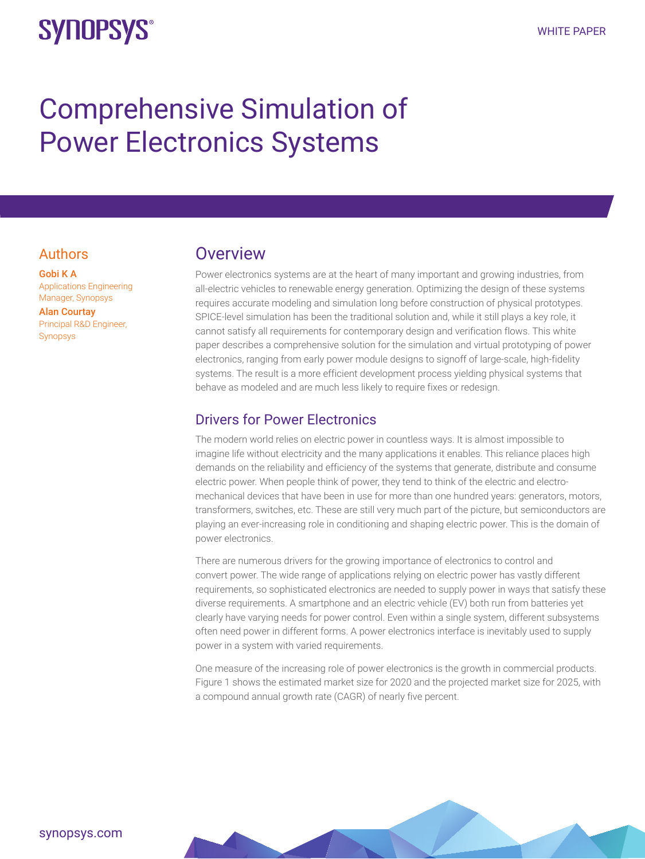## **SYNOPSYS®**

# Comprehensive Simulation of Power Electronics Systems

#### Authors

Gobi K A Applications Engineering Manager, Synopsys

Alan Courtay Principal R&D Engineer, Synopsys

## **Overview**

Power electronics systems are at the heart of many important and growing industries, from all-electric vehicles to renewable energy generation. Optimizing the design of these systems requires accurate modeling and simulation long before construction of physical prototypes. SPICE-level simulation has been the traditional solution and, while it still plays a key role, it cannot satisfy all requirements for contemporary design and verification flows. This white paper describes a comprehensive solution for the simulation and virtual prototyping of power electronics, ranging from early power module designs to signoff of large-scale, high-fidelity systems. The result is a more efficient development process yielding physical systems that behave as modeled and are much less likely to require fixes or redesign.

#### Drivers for Power Electronics

The modern world relies on electric power in countless ways. It is almost impossible to imagine life without electricity and the many applications it enables. This reliance places high demands on the reliability and efficiency of the systems that generate, distribute and consume electric power. When people think of power, they tend to think of the electric and electromechanical devices that have been in use for more than one hundred years: generators, motors, transformers, switches, etc. These are still very much part of the picture, but semiconductors are playing an ever-increasing role in conditioning and shaping electric power. This is the domain of power electronics.

There are numerous drivers for the growing importance of electronics to control and convert power. The wide range of applications relying on electric power has vastly different requirements, so sophisticated electronics are needed to supply power in ways that satisfy these diverse requirements. A smartphone and an electric vehicle (EV) both run from batteries yet clearly have varying needs for power control. Even within a single system, different subsystems often need power in different forms. A power electronics interface is inevitably used to supply power in a system with varied requirements.

One measure of the increasing role of power electronics is the growth in commercial products. Figure 1 shows the estimated market size for 2020 and the projected market size for 2025, with a compound annual growth rate (CAGR) of nearly five percent.

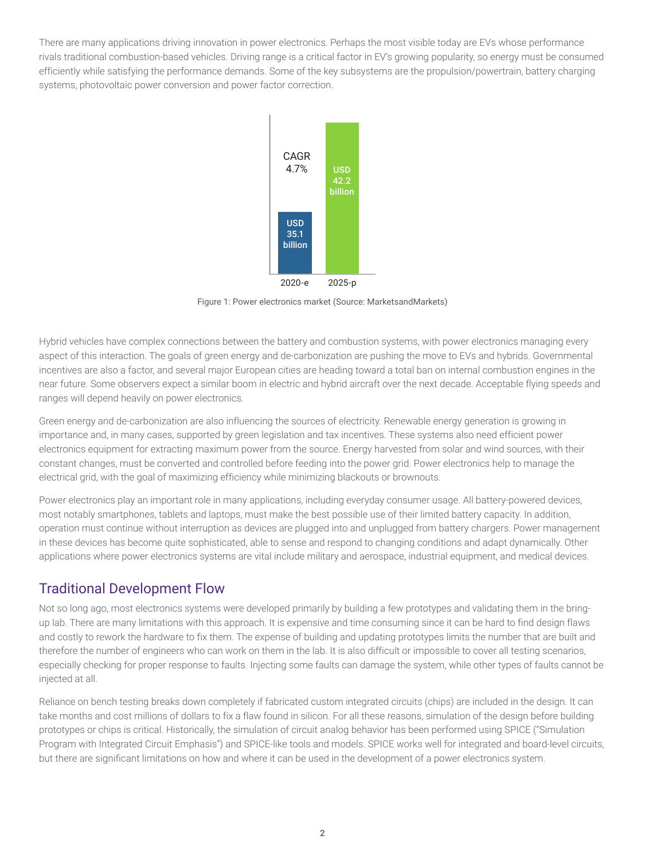There are many applications driving innovation in power electronics. Perhaps the most visible today are EVs whose performance rivals traditional combustion-based vehicles. Driving range is a critical factor in EV's growing popularity, so energy must be consumed efficiently while satisfying the performance demands. Some of the key subsystems are the propulsion/powertrain, battery charging systems, photovoltaic power conversion and power factor correction.



Figure 1: Power electronics market (Source: MarketsandMarkets)

Hybrid vehicles have complex connections between the battery and combustion systems, with power electronics managing every aspect of this interaction. The goals of green energy and de-carbonization are pushing the move to EVs and hybrids. Governmental incentives are also a factor, and several major European cities are heading toward a total ban on internal combustion engines in the near future. Some observers expect a similar boom in electric and hybrid aircraft over the next decade. Acceptable flying speeds and ranges will depend heavily on power electronics.

Green energy and de-carbonization are also influencing the sources of electricity. Renewable energy generation is growing in importance and, in many cases, supported by green legislation and tax incentives. These systems also need efficient power electronics equipment for extracting maximum power from the source. Energy harvested from solar and wind sources, with their constant changes, must be converted and controlled before feeding into the power grid. Power electronics help to manage the electrical grid, with the goal of maximizing efficiency while minimizing blackouts or brownouts.

Power electronics play an important role in many applications, including everyday consumer usage. All battery-powered devices, most notably smartphones, tablets and laptops, must make the best possible use of their limited battery capacity. In addition, operation must continue without interruption as devices are plugged into and unplugged from battery chargers. Power management in these devices has become quite sophisticated, able to sense and respond to changing conditions and adapt dynamically. Other applications where power electronics systems are vital include military and aerospace, industrial equipment, and medical devices.

#### Traditional Development Flow

Not so long ago, most electronics systems were developed primarily by building a few prototypes and validating them in the bringup lab. There are many limitations with this approach. It is expensive and time consuming since it can be hard to find design flaws and costly to rework the hardware to fix them. The expense of building and updating prototypes limits the number that are built and therefore the number of engineers who can work on them in the lab. It is also difficult or impossible to cover all testing scenarios, especially checking for proper response to faults. Injecting some faults can damage the system, while other types of faults cannot be injected at all.

Reliance on bench testing breaks down completely if fabricated custom integrated circuits (chips) are included in the design. It can take months and cost millions of dollars to fix a flaw found in silicon. For all these reasons, simulation of the design before building prototypes or chips is critical. Historically, the simulation of circuit analog behavior has been performed using SPICE ("Simulation Program with Integrated Circuit Emphasis") and SPICE-like tools and models. SPICE works well for integrated and board-level circuits, but there are significant limitations on how and where it can be used in the development of a power electronics system.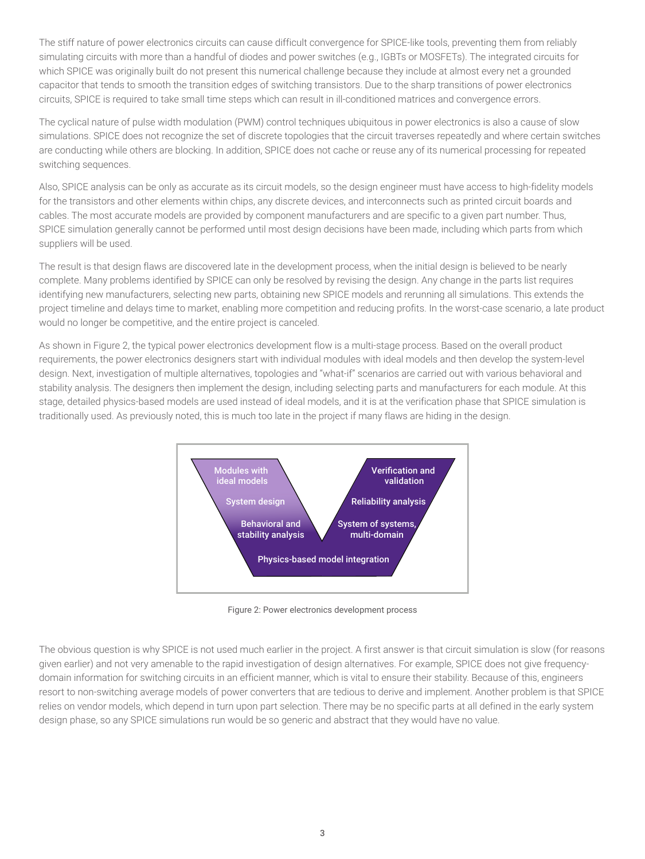The stiff nature of power electronics circuits can cause difficult convergence for SPICE-like tools, preventing them from reliably simulating circuits with more than a handful of diodes and power switches (e.g., IGBTs or MOSFETs). The integrated circuits for which SPICE was originally built do not present this numerical challenge because they include at almost every net a grounded capacitor that tends to smooth the transition edges of switching transistors. Due to the sharp transitions of power electronics circuits, SPICE is required to take small time steps which can result in ill-conditioned matrices and convergence errors.

The cyclical nature of pulse width modulation (PWM) control techniques ubiquitous in power electronics is also a cause of slow simulations. SPICE does not recognize the set of discrete topologies that the circuit traverses repeatedly and where certain switches are conducting while others are blocking. In addition, SPICE does not cache or reuse any of its numerical processing for repeated switching sequences.

Also, SPICE analysis can be only as accurate as its circuit models, so the design engineer must have access to high-fidelity models for the transistors and other elements within chips, any discrete devices, and interconnects such as printed circuit boards and cables. The most accurate models are provided by component manufacturers and are specific to a given part number. Thus, SPICE simulation generally cannot be performed until most design decisions have been made, including which parts from which suppliers will be used.

The result is that design flaws are discovered late in the development process, when the initial design is believed to be nearly complete. Many problems identified by SPICE can only be resolved by revising the design. Any change in the parts list requires identifying new manufacturers, selecting new parts, obtaining new SPICE models and rerunning all simulations. This extends the project timeline and delays time to market, enabling more competition and reducing profits. In the worst-case scenario, a late product would no longer be competitive, and the entire project is canceled.

As shown in Figure 2, the typical power electronics development flow is a multi-stage process. Based on the overall product requirements, the power electronics designers start with individual modules with ideal models and then develop the system-level design. Next, investigation of multiple alternatives, topologies and "what-if" scenarios are carried out with various behavioral and stability analysis. The designers then implement the design, including selecting parts and manufacturers for each module. At this stage, detailed physics-based models are used instead of ideal models, and it is at the verification phase that SPICE simulation is traditionally used. As previously noted, this is much too late in the project if many flaws are hiding in the design.



Figure 2: Power electronics development process

The obvious question is why SPICE is not used much earlier in the project. A first answer is that circuit simulation is slow (for reasons given earlier) and not very amenable to the rapid investigation of design alternatives. For example, SPICE does not give frequencydomain information for switching circuits in an efficient manner, which is vital to ensure their stability. Because of this, engineers resort to non-switching average models of power converters that are tedious to derive and implement. Another problem is that SPICE relies on vendor models, which depend in turn upon part selection. There may be no specific parts at all defined in the early system design phase, so any SPICE simulations run would be so generic and abstract that they would have no value.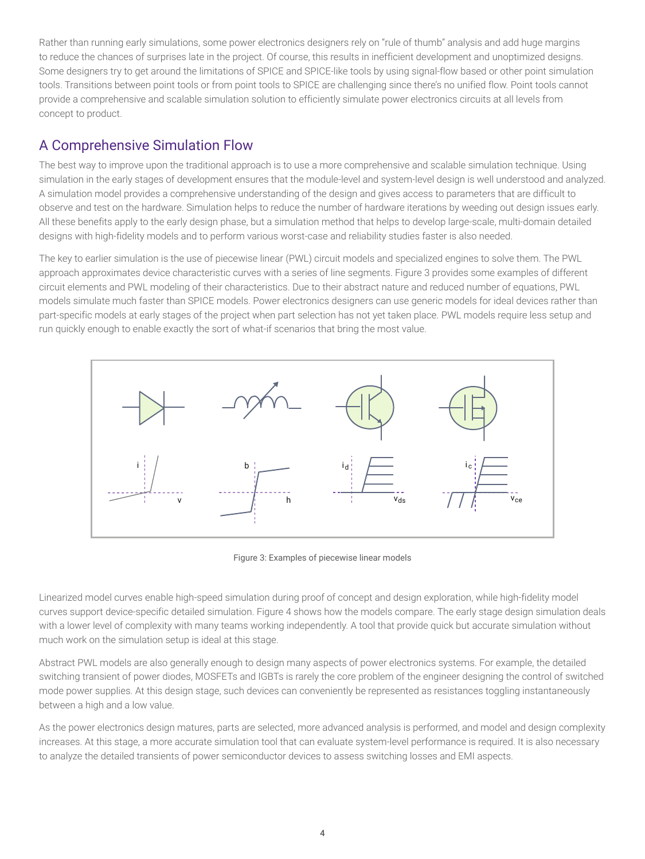Rather than running early simulations, some power electronics designers rely on "rule of thumb" analysis and add huge margins to reduce the chances of surprises late in the project. Of course, this results in inefficient development and unoptimized designs. Some designers try to get around the limitations of SPICE and SPICE-like tools by using signal-flow based or other point simulation tools. Transitions between point tools or from point tools to SPICE are challenging since there's no unified flow. Point tools cannot provide a comprehensive and scalable simulation solution to efficiently simulate power electronics circuits at all levels from concept to product.

## A Comprehensive Simulation Flow

The best way to improve upon the traditional approach is to use a more comprehensive and scalable simulation technique. Using simulation in the early stages of development ensures that the module-level and system-level design is well understood and analyzed. A simulation model provides a comprehensive understanding of the design and gives access to parameters that are difficult to observe and test on the hardware. Simulation helps to reduce the number of hardware iterations by weeding out design issues early. All these benefits apply to the early design phase, but a simulation method that helps to develop large-scale, multi-domain detailed designs with high-fidelity models and to perform various worst-case and reliability studies faster is also needed.

The key to earlier simulation is the use of piecewise linear (PWL) circuit models and specialized engines to solve them. The PWL approach approximates device characteristic curves with a series of line segments. Figure 3 provides some examples of different circuit elements and PWL modeling of their characteristics. Due to their abstract nature and reduced number of equations, PWL models simulate much faster than SPICE models. Power electronics designers can use generic models for ideal devices rather than part-specific models at early stages of the project when part selection has not yet taken place. PWL models require less setup and run quickly enough to enable exactly the sort of what-if scenarios that bring the most value.



Figure 3: Examples of piecewise linear models

Linearized model curves enable high-speed simulation during proof of concept and design exploration, while high-fidelity model curves support device-specific detailed simulation. Figure 4 shows how the models compare. The early stage design simulation deals with a lower level of complexity with many teams working independently. A tool that provide quick but accurate simulation without much work on the simulation setup is ideal at this stage.

Abstract PWL models are also generally enough to design many aspects of power electronics systems. For example, the detailed switching transient of power diodes, MOSFETs and IGBTs is rarely the core problem of the engineer designing the control of switched mode power supplies. At this design stage, such devices can conveniently be represented as resistances toggling instantaneously between a high and a low value.

As the power electronics design matures, parts are selected, more advanced analysis is performed, and model and design complexity increases. At this stage, a more accurate simulation tool that can evaluate system-level performance is required. It is also necessary to analyze the detailed transients of power semiconductor devices to assess switching losses and EMI aspects.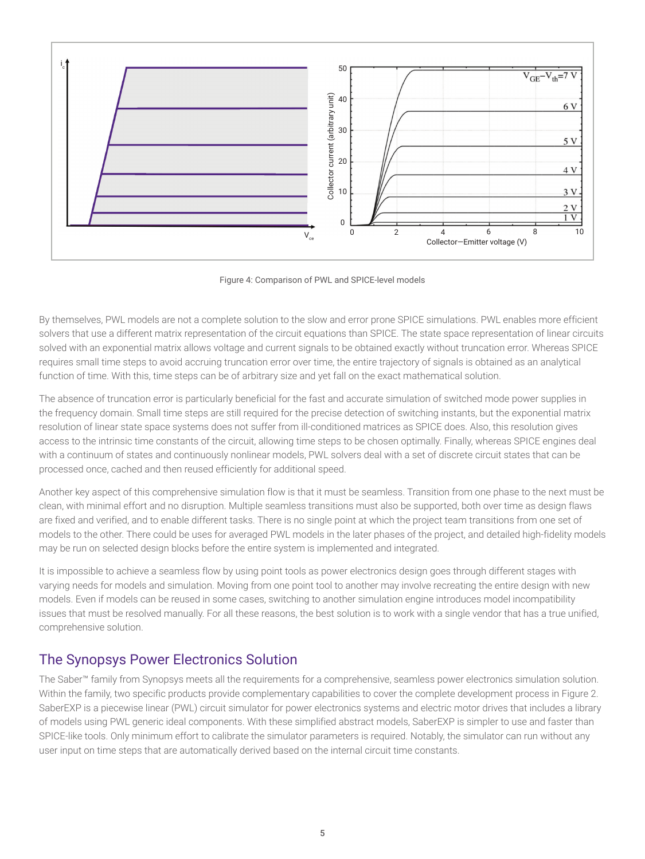

Figure 4: Comparison of PWL and SPICE-level models

By themselves, PWL models are not a complete solution to the slow and error prone SPICE simulations. PWL enables more efficient solvers that use a different matrix representation of the circuit equations than SPICE. The state space representation of linear circuits solved with an exponential matrix allows voltage and current signals to be obtained exactly without truncation error. Whereas SPICE requires small time steps to avoid accruing truncation error over time, the entire trajectory of signals is obtained as an analytical function of time. With this, time steps can be of arbitrary size and yet fall on the exact mathematical solution.

The absence of truncation error is particularly beneficial for the fast and accurate simulation of switched mode power supplies in the frequency domain. Small time steps are still required for the precise detection of switching instants, but the exponential matrix resolution of linear state space systems does not suffer from ill-conditioned matrices as SPICE does. Also, this resolution gives access to the intrinsic time constants of the circuit, allowing time steps to be chosen optimally. Finally, whereas SPICE engines deal with a continuum of states and continuously nonlinear models, PWL solvers deal with a set of discrete circuit states that can be processed once, cached and then reused efficiently for additional speed.

Another key aspect of this comprehensive simulation flow is that it must be seamless. Transition from one phase to the next must be clean, with minimal effort and no disruption. Multiple seamless transitions must also be supported, both over time as design flaws are fixed and verified, and to enable different tasks. There is no single point at which the project team transitions from one set of models to the other. There could be uses for averaged PWL models in the later phases of the project, and detailed high-fidelity models may be run on selected design blocks before the entire system is implemented and integrated.

It is impossible to achieve a seamless flow by using point tools as power electronics design goes through different stages with varying needs for models and simulation. Moving from one point tool to another may involve recreating the entire design with new models. Even if models can be reused in some cases, switching to another simulation engine introduces model incompatibility issues that must be resolved manually. For all these reasons, the best solution is to work with a single vendor that has a true unified, comprehensive solution.

### The Synopsys Power Electronics Solution

The Saber™ family from Synopsys meets all the requirements for a comprehensive, seamless power electronics simulation solution. Within the family, two specific products provide complementary capabilities to cover the complete development process in Figure 2. SaberEXP is a piecewise linear (PWL) circuit simulator for power electronics systems and electric motor drives that includes a library of models using PWL generic ideal components. With these simplified abstract models, SaberEXP is simpler to use and faster than SPICE-like tools. Only minimum effort to calibrate the simulator parameters is required. Notably, the simulator can run without any user input on time steps that are automatically derived based on the internal circuit time constants.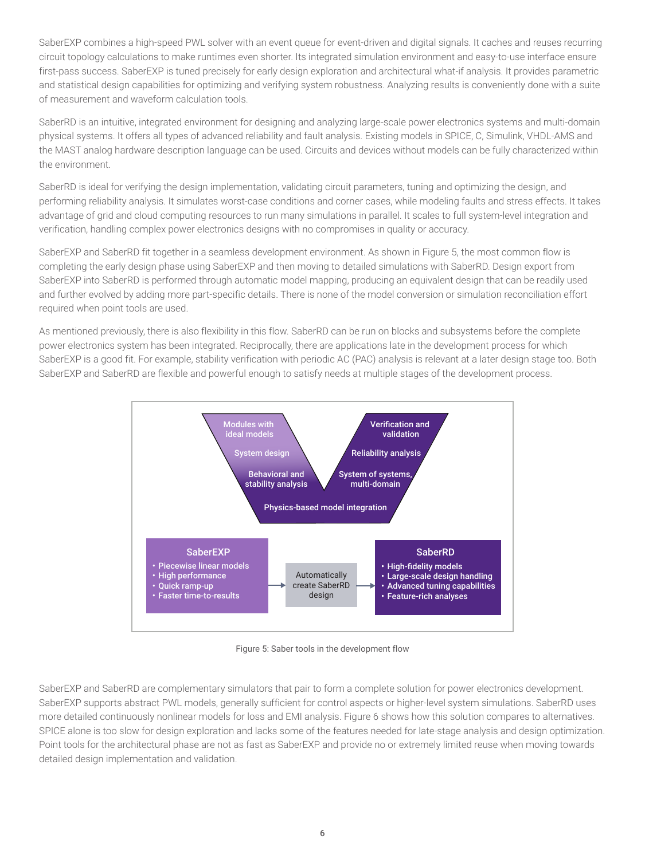SaberEXP combines a high-speed PWL solver with an event queue for event-driven and digital signals. It caches and reuses recurring circuit topology calculations to make runtimes even shorter. Its integrated simulation environment and easy-to-use interface ensure first-pass success. SaberEXP is tuned precisely for early design exploration and architectural what-if analysis. It provides parametric and statistical design capabilities for optimizing and verifying system robustness. Analyzing results is conveniently done with a suite of measurement and waveform calculation tools.

SaberRD is an intuitive, integrated environment for designing and analyzing large-scale power electronics systems and multi-domain physical systems. It offers all types of advanced reliability and fault analysis. Existing models in SPICE, C, Simulink, VHDL-AMS and the MAST analog hardware description language can be used. Circuits and devices without models can be fully characterized within the environment.

SaberRD is ideal for verifying the design implementation, validating circuit parameters, tuning and optimizing the design, and performing reliability analysis. It simulates worst-case conditions and corner cases, while modeling faults and stress effects. It takes advantage of grid and cloud computing resources to run many simulations in parallel. It scales to full system-level integration and verification, handling complex power electronics designs with no compromises in quality or accuracy.

SaberEXP and SaberRD fit together in a seamless development environment. As shown in Figure 5, the most common flow is completing the early design phase using SaberEXP and then moving to detailed simulations with SaberRD. Design export from SaberEXP into SaberRD is performed through automatic model mapping, producing an equivalent design that can be readily used and further evolved by adding more part-specific details. There is none of the model conversion or simulation reconciliation effort required when point tools are used.

As mentioned previously, there is also flexibility in this flow. SaberRD can be run on blocks and subsystems before the complete power electronics system has been integrated. Reciprocally, there are applications late in the development process for which SaberEXP is a good fit. For example, stability verification with periodic AC (PAC) analysis is relevant at a later design stage too. Both SaberEXP and SaberRD are flexible and powerful enough to satisfy needs at multiple stages of the development process.



Figure 5: Saber tools in the development flow

SaberEXP and SaberRD are complementary simulators that pair to form a complete solution for power electronics development. SaberEXP supports abstract PWL models, generally sufficient for control aspects or higher-level system simulations. SaberRD uses more detailed continuously nonlinear models for loss and EMI analysis. Figure 6 shows how this solution compares to alternatives. SPICE alone is too slow for design exploration and lacks some of the features needed for late-stage analysis and design optimization. Point tools for the architectural phase are not as fast as SaberEXP and provide no or extremely limited reuse when moving towards detailed design implementation and validation.